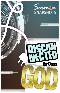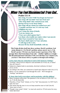# When You Feel Disconnected from God...

**Psalm 13:1-6**

**How long, O LORD? Will You forget me forever? How long will You hide Your face from me? <sup>2</sup> How long shall I take counsel in my soul,** *Having* **sorrow in my heart daily? How long will my enemy be exalted over me? <sup>3</sup> Consider** *and* **hear me, O LORD my God; Enlighten my eyes, Lest I sleep the** *sleep of* **death; <sup>4</sup>Lest my enemy say, "I have prevailed against him";** *Lest* **those who trouble me rejoice when I am moved. <sup>5</sup>But I have trusted in Your mercy; My heart shall rejoice in Your salvation. 6 I will sing to the LORD, Because He has dealt bountifully with me.**

**This Psalm divides itself into three sections. David's problem: God seems distant (v.1-3); David's petition: please answer me (v.3-4); David's praise: I'll trust you, based on past experience (5-6). This passage shows the frustration of one who – whether rightly or wrongly – felt disconnected from God! Have YOU ever felt that way? Chances are, you have! This lesson will try to guide us through such feelings…**

**I. First, know that our connection to God is NOT based on "feelings"**

- "Feelings" about God are subjective and unreliable (Is it God, me, or Satan? How do I know?)
- Subjective religion leads to uncertainty, doctrinal confusion, & chaos! (1Cor.14:33)
- According to the John, our connection is based upon objective truth  $(1Jn.2:3-5)$
- Hence, we are connected to God through His word NOT through our "feelings" and desires!

### **II. Know that God is everywhere; and in particular, with His children!**

- Many Scriptures affirm this! The question is: Do we believe it? (Ps.139:7-12; Ac.17:26-28; Rm.8:28)
- Therefore, if God "feels" distant, or if we "feel" disconnected, it is NOT God's fault, but ours!
- This means that the onus is on us to keep ourselves near to God! (Jm.4:8, "draw near to God")
- Though it may sound "cliché," we must ask ourselves: If God seems far away, WHO MOVED?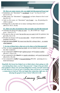#### **III. Here are some** *reasons* **why you might feel disconnected from God**

- Sometimes, our "disconnect" is accidental: *we get "too busy for God"* (Lk.12:15-21)
- Other times, our "disconnect" is intentional: *we have chosen to live in sin!* (Isa.59:1-2)
- And, in a few cases, we "disconnect" out of anger *– e.g., the passing of a child or spouse*
- Perhaps this is why there are so many warnings about our priorities! (Mt.6:33: 10:37; 16:24)

#### **IV. There are also** *circumstances* **that can make you feel disconnected**

- God does not always do what we want *– i.e., He is NOT our "magic genie"* (Jm.4:13-17)
- He may do what we want, but not the way we want it (ask for patience, but get trials, Jm.1:2-4)
- He does not always work on our time table Joseph endured *years* of hardship! (Is.40:31)
- *Such are tests of faith! We must trust that He is always there – no matter what happens!*

#### **V. In view of these facts,** *what can we do* **when we feel disconnected?**

- First, we must *constantly feed our faith,* not our doubts! (one strengthens; the other weakens!)
- Get connected to **God** through *vigilant prayer* and *Scripture studies* (Ph.4:6-7; 2Tm.2:15)
- Get connected to the **church** via *regular attendance,* and *social interaction* (Hb.10:25; 1Pt.4:9)
- Get connected to **reality** by *focused thinking* (Ph.4:8) pursuing sin is a dead-end fantasy!

**Hopefully this lesson has helped you to think about whats going on with you during those times you feel "disconnected." I hope it has provided some guidance about your personal obligation to keep yourself connected to God. However, if you are not a Christian, then you haven't even made a connection to God yet! Why not begin that connection right now, by obeying the gospel of Jesus Christ? (Mk.16:15-20)**

 *-Lanny Smith*